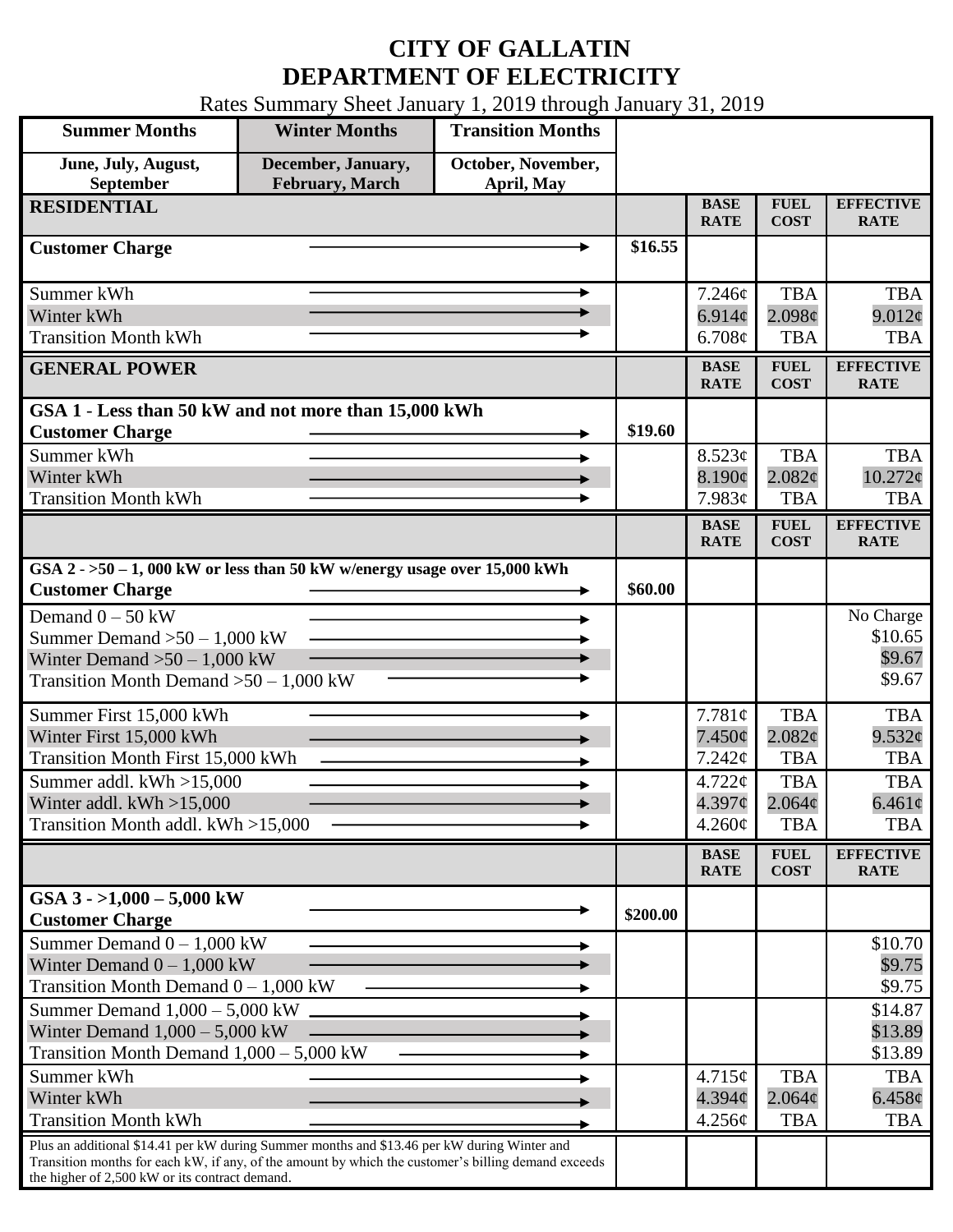## **CITY OF GALLATIN DEPARTMENT OF ELECTRICITY**

Rates Summary Sheet January 1, 2019 through January 31, 2019

| <b>Summer Months</b>                                                                                                                                                                                                                                 | <b>Winter Months</b>                         | <b>Transition Months</b>         |                            |                                 |                            |                                 |
|------------------------------------------------------------------------------------------------------------------------------------------------------------------------------------------------------------------------------------------------------|----------------------------------------------|----------------------------------|----------------------------|---------------------------------|----------------------------|---------------------------------|
| June, July, August,<br>September                                                                                                                                                                                                                     | December, January,<br><b>February, March</b> | October, November,<br>April, May |                            |                                 |                            |                                 |
| <b>RESIDENTIAL</b>                                                                                                                                                                                                                                   |                                              | <b>BASE</b><br><b>RATE</b>       | <b>FUEL</b><br><b>COST</b> | <b>EFFECTIVE</b><br><b>RATE</b> |                            |                                 |
| <b>Customer Charge</b>                                                                                                                                                                                                                               |                                              |                                  | \$16.55                    |                                 |                            |                                 |
| Summer kWh                                                                                                                                                                                                                                           |                                              |                                  |                            | 7.246¢                          | <b>TBA</b>                 | <b>TBA</b>                      |
| Winter kWh                                                                                                                                                                                                                                           |                                              |                                  |                            | 6.914 $\phi$                    | $2.098\phi$                | 9.012¢                          |
| <b>Transition Month kWh</b>                                                                                                                                                                                                                          |                                              |                                  |                            | 6.708¢                          | <b>TBA</b>                 | <b>TBA</b>                      |
| <b>GENERAL POWER</b>                                                                                                                                                                                                                                 |                                              | <b>BASE</b><br><b>RATE</b>       | <b>FUEL</b><br><b>COST</b> | <b>EFFECTIVE</b><br><b>RATE</b> |                            |                                 |
| GSA 1 - Less than 50 kW and not more than 15,000 kWh                                                                                                                                                                                                 |                                              |                                  |                            |                                 |                            |                                 |
| <b>Customer Charge</b>                                                                                                                                                                                                                               |                                              |                                  | \$19.60                    |                                 |                            |                                 |
| Summer kWh                                                                                                                                                                                                                                           |                                              |                                  |                            | 8.523¢                          | <b>TBA</b>                 | <b>TBA</b>                      |
| Winter kWh                                                                                                                                                                                                                                           |                                              |                                  |                            | 8.190¢                          | 2.082c                     | $10.272$ ¢                      |
| <b>Transition Month kWh</b>                                                                                                                                                                                                                          |                                              |                                  |                            | 7.983¢                          | <b>TBA</b>                 | <b>TBA</b>                      |
|                                                                                                                                                                                                                                                      |                                              |                                  |                            | <b>BASE</b><br><b>RATE</b>      | <b>FUEL</b><br><b>COST</b> | <b>EFFECTIVE</b><br><b>RATE</b> |
| GSA $2 - 50 - 1$ , 000 kW or less than 50 kW w/energy usage over 15,000 kWh<br><b>Customer Charge</b>                                                                                                                                                | \$60.00                                      |                                  |                            |                                 |                            |                                 |
| Demand $0 - 50$ kW                                                                                                                                                                                                                                   |                                              |                                  |                            |                                 |                            | No Charge                       |
| Summer Demand $>50 - 1,000$ kW                                                                                                                                                                                                                       |                                              |                                  |                            |                                 |                            | \$10.65                         |
| Winter Demand $>50 - 1,000$ kW                                                                                                                                                                                                                       |                                              |                                  |                            |                                 |                            | \$9.67                          |
| Transition Month Demand $>50-1,000$ kW                                                                                                                                                                                                               |                                              |                                  |                            |                                 | \$9.67                     |                                 |
| Summer First 15,000 kWh                                                                                                                                                                                                                              |                                              |                                  |                            | 7.781¢                          | <b>TBA</b>                 | <b>TBA</b>                      |
| Winter First 15,000 kWh                                                                                                                                                                                                                              |                                              |                                  |                            | $7.450\phi$                     | 2.082¢                     | 9.532¢                          |
| <b>Transition Month First 15,000 kWh</b>                                                                                                                                                                                                             |                                              |                                  |                            | 7.242¢                          | <b>TBA</b>                 | <b>TBA</b>                      |
| Summer addl. kWh >15,000                                                                                                                                                                                                                             |                                              |                                  |                            | 4.722¢                          | <b>TBA</b>                 | <b>TBA</b>                      |
| Winter addl. $kWh > 15,000$                                                                                                                                                                                                                          |                                              |                                  |                            | $4.397\mathcal{C}$              | $2.064\phi$                | $6.461\phi$                     |
| Transition Month addl. kWh >15,000                                                                                                                                                                                                                   |                                              |                                  |                            | 4.260¢                          | <b>TBA</b>                 | <b>TBA</b>                      |
|                                                                                                                                                                                                                                                      |                                              |                                  |                            | <b>BASE</b><br><b>RATE</b>      | <b>FUEL</b><br><b>COST</b> | <b>EFFECTIVE</b><br><b>RATE</b> |
| GSA $3 - 1,000 - 5,000$ kW                                                                                                                                                                                                                           |                                              |                                  | \$200.00                   |                                 |                            |                                 |
| <b>Customer Charge</b>                                                                                                                                                                                                                               |                                              |                                  |                            |                                 |                            |                                 |
| Summer Demand $0 - 1,000$ kW<br>Winter Demand $0 - 1,000$ kW                                                                                                                                                                                         |                                              |                                  |                            |                                 |                            | \$10.70<br>\$9.75               |
| Transition Month Demand $0 - 1,000$ kW                                                                                                                                                                                                               |                                              |                                  |                            |                                 |                            | \$9.75                          |
| Summer Demand $1,000 - 5,000$ kW                                                                                                                                                                                                                     |                                              |                                  |                            |                                 |                            | \$14.87                         |
| Winter Demand $1,000 - 5,000$ kW                                                                                                                                                                                                                     |                                              |                                  |                            |                                 |                            | \$13.89                         |
| Transition Month Demand $1,000 - 5,000$ kW                                                                                                                                                                                                           |                                              |                                  |                            |                                 |                            | \$13.89                         |
| Summer kWh                                                                                                                                                                                                                                           |                                              |                                  |                            | 4.715¢                          | <b>TBA</b>                 | <b>TBA</b>                      |
| Winter kWh                                                                                                                                                                                                                                           |                                              |                                  | $4.394\phi$                | $2.064\phi$                     | $6.458\phi$                |                                 |
| <b>Transition Month kWh</b>                                                                                                                                                                                                                          |                                              |                                  |                            | 4.256¢                          | <b>TBA</b>                 | <b>TBA</b>                      |
| Plus an additional \$14.41 per kW during Summer months and \$13.46 per kW during Winter and<br>Transition months for each kW, if any, of the amount by which the customer's billing demand exceeds<br>the higher of 2,500 kW or its contract demand. |                                              |                                  |                            |                                 |                            |                                 |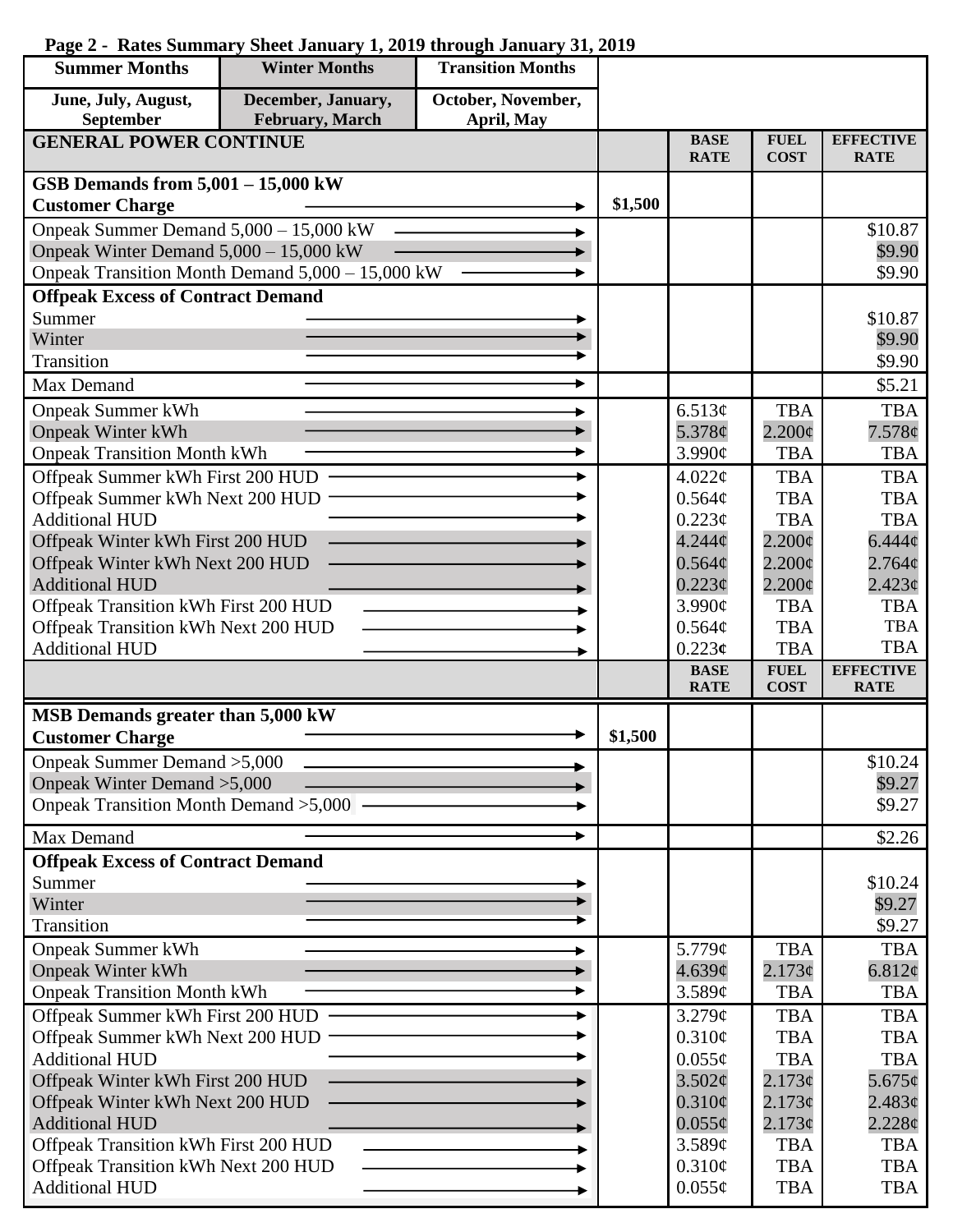## **Summer Months Winter Months Transition Months June, July, August, December, January, October, November, September February, March April, May GENERAL POWER CONTINUE BASE FUEL EFFECTIVE RATE COST RATE GSB Demands from 5,001 – 15,000 kW**  $\text{Customer Charge}$   $\longrightarrow$  \$1,500 Onpeak Summer Demand 5,000 – 15,000 kW \$10.87 Onpeak Winter Demand 5,000 – 15,000 kW \$9.90 Onpeak Transition Month Demand 5,000 – 15,000 kW \$9.90 **Offpeak Excess of Contract Demand** Summer \$10.87 Winter \$9.90 Transition \$9.90 Max Demand  $\qquad \qquad \longrightarrow \qquad \qquad$  \$5.21 Onpeak Summer kWh 6.513¢ TBA TBA Onpeak Winter kWh 5.378¢  $2.200\text{c}$ 7.578¢ Onpeak Transition Month kWh 3.990¢ TBA  $\ddot{\phantom{1}}$ TBA Offpeak Summer kWh First 200 HUD ь 4.022¢ TBA **TBA** Offpeak Summer kWh Next 200 HUD  $0.564\mathcal{C}$ TBA TBA Additional HUD  $0.223<sub>c</sub>$ TBA TBA Offpeak Winter kWh First 200 HUD 4.244¢  $2.200c$  $6.444c$  $2.200\phi$ Offpeak Winter kWh Next 200 HUD  $0.564¢$  $2.764¢$ Additional HUD  $0.223\epsilon$  $2.200\text{¢}$  $2.423<sub>c</sub>$ Offpeak Transition kWh First 200 HUD 3.990¢ TBA TBA Offpeak Transition kWh Next 200 HUD TBA TBA  $0.564<sub>c</sub>$ TBA Additional HUD 0.223**¢** TBA **BASE FUEL EFFECTIVE RATE COST RATE MSB Demands greater than 5,000 kW**  $\overrightarrow{$  1,500} Onpeak Summer Demand >5,000 \$10.24 Onpeak Winter Demand >5,000 \$9.27 Onpeak Transition Month Demand >5,000 \$9.27 Max Demand  $\sim$   $\sim$   $\sim$  \$2.26 **Offpeak Excess of Contract Demand** Summer \$10.24 Winter \$9.27 Transition \$9.27 Onpeak Summer kWh 5.779¢ TBA TBA Onpeak Winter kWh 4.639¢  $2.173<sub>c</sub>$ 6.812¢ Onpeak Transition Month kWh 3.589¢ TBA TBA Offpeak Summer kWh First 200 HUD 3.279¢ TBA **TBA** Offpeak Summer kWh Next 200 HUD  $0.310\text{¢}$ TBA TBA Additional HUD  $0.055\sigma$ TBA TBA Offpeak Winter kWh First 200 HUD  $2.173¢$  $3.502<sub>\sigma</sub>$ 5.675¢ Offpeak Winter kWh Next 200 HUD  $0.310\phi$  $2.173¢$  $2.483¢$ Additional HUD  $0.055\mathcal{C}$  $2.173¢$ 2.228¢ Offpeak Transition kWh First 200 HUD 3.589¢ TBA TBA Offpeak Transition kWh Next 200 HUD  $0.310<sub>c</sub>$ TBA **TBA** TBAAdditional HUD

 $0.055c$ 

TBA

## **Page 2 - Rates Summary Sheet January 1, 2019 through January 31, 2019**